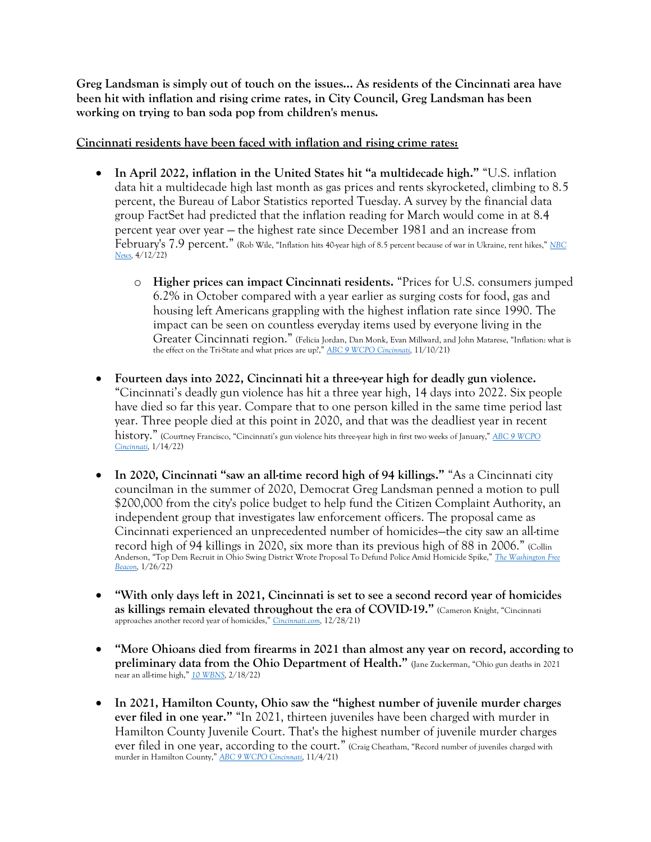**Greg Landsman is simply out of touch on the issues… As residents of the Cincinnati area have been hit with inflation and rising crime rates, in City Council, Greg Landsman has been working on trying to ban soda pop from children's menus.**

## **Cincinnati residents have been faced with inflation and rising crime rates:**

- **In April 2022, inflation in the United States hit "a multidecade high."** "U.S. inflation data hit a multidecade high last month as gas prices and rents skyrocketed, climbing to 8.5 percent, the Bureau of Labor Statistics reported Tuesday. A survey by the financial data group FactSet had predicted that the inflation reading for March would come in at 8.4 percent year over year — the highest rate since December 1981 and an increase from February's 7.9 percent." (Rob Wile, "Inflation hits 40-year high of 8.5 percent because of war in Ukraine, rent hikes," *[NBC](https://www.nbcnews.com/business/consumer/inflation-march-2022-hits-record-high-data-stats-details-rcna23654)  [News,](https://www.nbcnews.com/business/consumer/inflation-march-2022-hits-record-high-data-stats-details-rcna23654)* 4/12/22)
	- o **Higher prices can impact Cincinnati residents.** "Prices for U.S. consumers jumped 6.2% in October compared with a year earlier as surging costs for food, gas and housing left Americans grappling with the highest inflation rate since 1990. The impact can be seen on countless everyday items used by everyone living in the Greater Cincinnati region." (Felicia Jordan, Dan Monk, Evan Millward, and John Matarese, "Inflation: what is the effect on the Tri-State and what prices are up?," *[ABC 9 WCPO](https://www.wcpo.com/news/local-news/inflation-how-is-it-affecting-the-tri-state-area) Cincinnati,* 11/10/21)
- **Fourteen days into 2022, Cincinnati hit a three-year high for deadly gun violence.**  "Cincinnati's deadly gun violence has hit a three year high, 14 days into 2022. Six people have died so far this year. Compare that to one person killed in the same time period last year. Three people died at this point in 2020, and that was the deadliest year in recent history." (Courtney Francisco, "Cincinnati's gun violence hits three-year high in first two weeks of January," *[ABC 9 WCPO](https://www.wcpo.com/news/local-news/cincinnatis-gun-violence-hits-three-year-high-in-first-two-weeks-of-january#:~:text=CINCINNATI%20%E2%80%94%20Cincinnati)  [Cincinnati,](https://www.wcpo.com/news/local-news/cincinnatis-gun-violence-hits-three-year-high-in-first-two-weeks-of-january#:~:text=CINCINNATI%20%E2%80%94%20Cincinnati)* 1/14/22)
- **In 2020, Cincinnati "saw an all-time record high of 94 killings."** "As a Cincinnati city councilman in the summer of 2020, Democrat Greg Landsman penned a motion to pull \$200,000 from the city's police budget to help fund the Citizen Complaint Authority, an independent group that investigates law enforcement officers. The proposal came as Cincinnati experienced an unprecedented number of homicides—the city saw an all-time record high of 94 killings in 2020, six more than its previous high of 88 in 2006." (Collin Anderson, "Top Dem Recruit in Ohio Swing District Wrote Proposal To Defund Police Amid Homicide Spike," *[The Washington Free](https://freebeacon.com/democrats/top-dem-recruit-in-ohio-swing-district-wrote-proposal-to-defund-police-amid-homicide-spike/)  [Beacon,](https://freebeacon.com/democrats/top-dem-recruit-in-ohio-swing-district-wrote-proposal-to-defund-police-amid-homicide-spike/)* 1/26/22)
- **"With only days left in 2021, Cincinnati is set to see a second record year of homicides as killings remain elevated throughout the era of COVID-19."** (Cameron Knight, "Cincinnati approaches another record year of homicides," *[Cincinnati.com,](https://www.cincinnati.com/story/news/crime/2021/12/27/cincinnati-approaches-another-record-year-homicides/9024445002/)* 12/28/21)
- **"More Ohioans died from firearms in 2021 than almost any year on record, according to preliminary data from the Ohio Department of Health."** (Jane Zuckerman, "Ohio gun deaths in 2021 near an all-time high," *[10 WBNS,](https://www.10tv.com/article/news/local/ohio/ohio-gun-deaths-in-2021-near-all-time-high/530-c91b74ce-d56f-4be3-a586-0621f6c1eb00)* 2/18/22)
- **In 2021, Hamilton County, Ohio saw the "highest number of juvenile murder charges ever filed in one year."** "In 2021, thirteen juveniles have been charged with murder in Hamilton County Juvenile Court. That's the highest number of juvenile murder charges ever filed in one year, according to the court." (Craig Cheatham, "Record number of juveniles charged with murder in Hamilton County," *[ABC 9 WCPO Cincinnati,](https://www.wcpo.com/news/local-news/i-team/record-number-of-juveniles-charged-with-murder-in-2021-their-neighborhoods-are-war-zones)* 11/4/21)